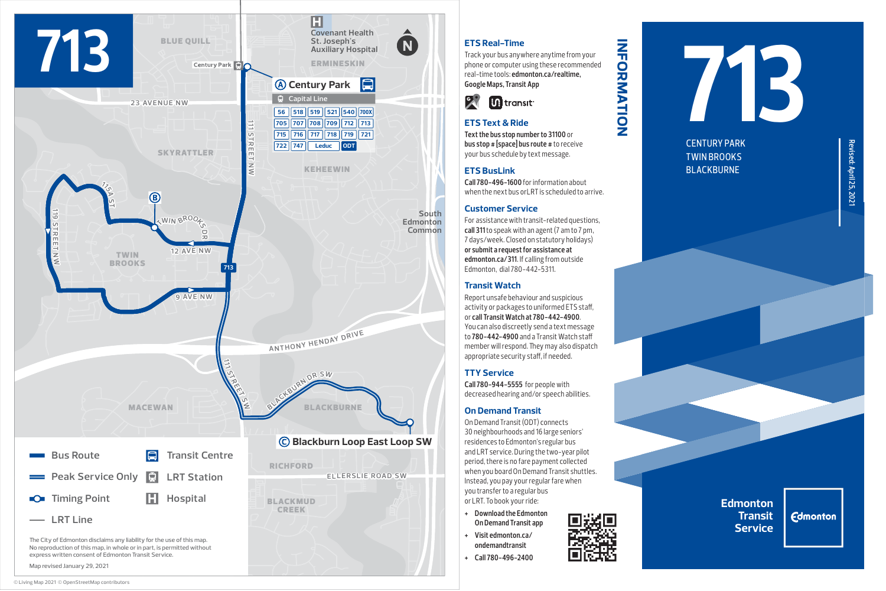

### Map revised January 29, 2021

# **ETS Real-Time**

Track your bus anywhere anytime from your phone or computer using these recommended real-time tools: **edmonton.ca/realtime, Google Maps, Transit App**

**information**

**INFORMATION** 



# **ETS Text & Ride**

**Text the bus stop number to 31100** or **bus stop # [space] bus route #** to receive your bus schedule by text message.

# **ETS BusLink**

**Call 780-496-1600** for information about when the next bus orl RT is scheduled to arrive

### **Customer Service**

For assistance with transit-related questions, **call 311** to speak with an agent (7 am to 7 pm, 7 days/week. Closed on statutory holidays) **or submit a request for assistance at edmonton.ca/311**. If calling from outside Edmonton, dial 780-442-5311.

### **Transit Watch**

Report unsafe behaviour and suspicious activity or packages to uniformed ETS staff, or **call Transit Watch at 780-442-4900**. You can also discreetly send a text message to **780-442-4900** and a Transit Watch staff member will respond. They may also dispatch appropriate security staff, if needed.

### **TTY Service**

**Call 780-944-5555** for people with decreased hearing and/or speech abilities.

### **On Demand Transit**

On Demand Transit (ODT) connects 30 neighbourhoods and 16 large seniors' residences to Edmonton's regular bus and LRT service. During the two-year pilot period, there is no fare payment collected when you board On Demand Transit shuttles. Instead, you pay your regular fare when you transfer to a regular bus or LRT. To book your ride:

- **+ Download the Edmonton On Demand Transit app**
- **+ Visit edmonton.ca/ ondemandtransit**
- **+ Call 780-496-2400**

# **713**

CENTURY PARK TWIN BROOKS BLACKBURNE

**Edmonton Transit Service**

**Edmonton**